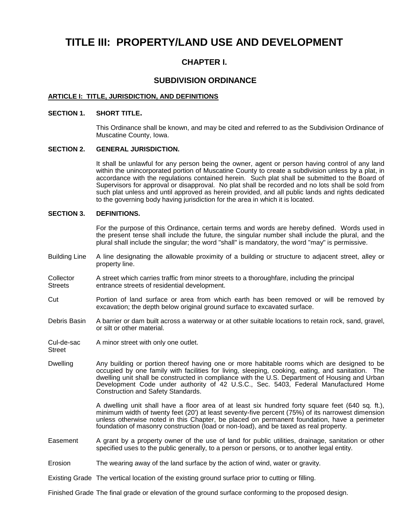# **TITLE III: PROPERTY/LAND USE AND DEVELOPMENT**

# **CHAPTER I.**

## **SUBDIVISION ORDINANCE**

## **ARTICLE I: TITLE, JURISDICTION, AND DEFINITIONS**

#### **SECTION 1. SHORT TITLE.**

This Ordinance shall be known, and may be cited and referred to as the Subdivision Ordinance of Muscatine County, Iowa.

#### **SECTION 2. GENERAL JURISDICTION.**

It shall be unlawful for any person being the owner, agent or person having control of any land within the unincorporated portion of Muscatine County to create a subdivision unless by a plat, in accordance with the regulations contained herein. Such plat shall be submitted to the Board of Supervisors for approval or disapproval. No plat shall be recorded and no lots shall be sold from such plat unless and until approved as herein provided, and all public lands and rights dedicated to the governing body having jurisdiction for the area in which it is located.

## **SECTION 3. DEFINITIONS.**

For the purpose of this Ordinance, certain terms and words are hereby defined. Words used in the present tense shall include the future, the singular number shall include the plural, and the plural shall include the singular; the word "shall" is mandatory, the word "may" is permissive.

- Building Line A line designating the allowable proximity of a building or structure to adjacent street, alley or property line.
- Collector A street which carries traffic from minor streets to a thoroughfare, including the principal<br>Streets entrance streets of residential development. entrance streets of residential development.
- Cut Portion of land surface or area from which earth has been removed or will be removed by excavation; the depth below original ground surface to excavated surface.
- Debris Basin A barrier or dam built across a waterway or at other suitable locations to retain rock, sand, gravel, or silt or other material.
- Cul-de-sac A minor street with only one outlet.
- Street
- Dwelling Any building or portion thereof having one or more habitable rooms which are designed to be occupied by one family with facilities for living, sleeping, cooking, eating, and sanitation. The dwelling unit shall be constructed in compliance with the U.S. Department of Housing and Urban Development Code under authority of 42 U.S.C., Sec. 5403, Federal Manufactured Home Construction and Safety Standards.

A dwelling unit shall have a floor area of at least six hundred forty square feet (640 sq. ft.), minimum width of twenty feet (20') at least seventy-five percent (75%) of its narrowest dimension unless otherwise noted in this Chapter, be placed on permanent foundation, have a perimeter foundation of masonry construction (load or non-load), and be taxed as real property.

- Easement A grant by a property owner of the use of land for public utilities, drainage, sanitation or other specified uses to the public generally, to a person or persons, or to another legal entity.
- Erosion The wearing away of the land surface by the action of wind, water or gravity.
- Existing Grade The vertical location of the existing ground surface prior to cutting or filling.

Finished Grade The final grade or elevation of the ground surface conforming to the proposed design.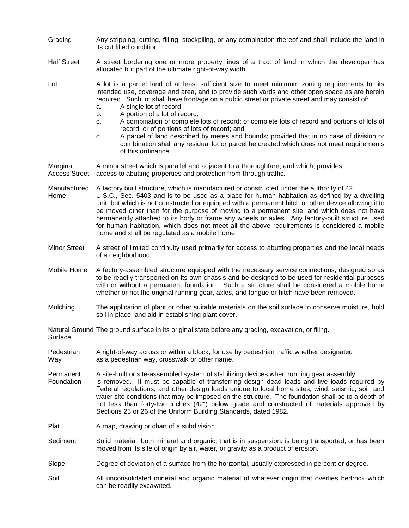- Grading Any stripping, cutting, filling, stockpiling, or any combination thereof and shall include the land in its cut filled condition.
- Half Street A street bordering one or more property lines of a tract of land in which the developer has allocated but part of the ultimate right-of-way width.

Lot A lot is a parcel land of at least sufficient size to meet minimum zoning requirements for its intended use, coverage and area, and to provide such yards and other open space as are herein required. Such lot shall have frontage on a public street or private street and may consist of:

- a. A single lot of record;
- b. A portion of a lot of record;
- c. A combination of complete lots of record; of complete lots of record and portions of lots of record; or of portions of lots of record; and
- d. A parcel of land described by metes and bounds; provided that in no case of division or combination shall any residual lot or parcel be created which does not meet requirements of this ordinance.

Marginal A minor street which is parallel and adjacent to a thoroughfare, and which, provides Access Street access to abutting properties and protection from through traffic.

Manufactured A factory built structure, which is manufactured or constructed under the authority of 42 Home U.S.C., Sec. 5403 and is to be used as a place for human habitation as defined by a dwelling unit, but which is not constructed or equipped with a permanent hitch or other device allowing it to be moved other than for the purpose of moving to a permanent site, and which does not have permanently attached to its body or frame any wheels or axles. Any factory-built structure used for human habitation, which does not meet all the above requirements is considered a mobile home and shall be regulated as a mobile home.

- Minor Street A street of limited continuity used primarily for access to abutting properties and the local needs of a neighborhood.
- Mobile Home A factory-assembled structure equipped with the necessary service connections, designed so as to be readily transported on its own chassis and be designed to be used for residential purposes with or without a permanent foundation. Such a structure shall be considered a mobile home whether or not the original running gear, axles, and tongue or hitch have been removed.
- Mulching The application of plant or other suitable materials on the soil surface to conserve moisture, hold soil in place, and aid in establishing plant cover.

Natural Ground The ground surface in its original state before any grading, excavation, or filing.

- **Surface**
- Pedestrian A right-of-way across or within a block, for use by pedestrian traffic whether designated Way extends a pedestrian way, crosswalk or other name.
- Permanent A site-built or site-assembled system of stabilizing devices when running gear assembly Foundation is removed. It must be capable of transferring design dead loads and live loads required by Federal regulations, and other design loads unique to local home sites, wind, seismic, soil, and water site conditions that may be imposed on the structure. The foundation shall be to a depth of not less than forty-two inches (42") below grade and constructed of materials approved by Sections 25 or 26 of the Uniform Building Standards, dated 1982.
- Plat A map, drawing or chart of a subdivision.
- Sediment Solid material, both mineral and organic, that is in suspension, is being transported, or has been moved from its site of origin by air, water, or gravity as a product of erosion.

Slope Degree of deviation of a surface from the horizontal, usually expressed in percent or degree.

Soil All unconsolidated mineral and organic material of whatever origin that overlies bedrock which can be readily excavated.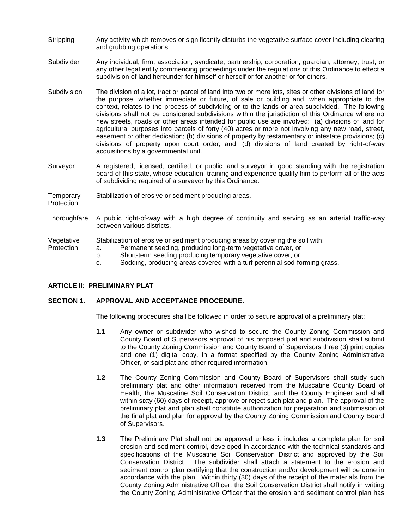- Stripping Any activity which removes or significantly disturbs the vegetative surface cover including clearing and grubbing operations.
- Subdivider Any individual, firm, association, syndicate, partnership, corporation, guardian, attorney, trust, or any other legal entity commencing proceedings under the regulations of this Ordinance to effect a subdivision of land hereunder for himself or herself or for another or for others.
- Subdivision The division of a lot, tract or parcel of land into two or more lots, sites or other divisions of land for the purpose, whether immediate or future, of sale or building and, when appropriate to the context, relates to the process of subdividing or to the lands or area subdivided. The following divisions shall not be considered subdivisions within the jurisdiction of this Ordinance where no new streets, roads or other areas intended for public use are involved: (a) divisions of land for agricultural purposes into parcels of forty (40) acres or more not involving any new road, street, easement or other dedication; (b) divisions of property by testamentary or intestate provisions; (c) divisions of property upon court order; and, (d) divisions of land created by right-of-way acquisitions by a governmental unit.
- Surveyor A registered, licensed, certified, or public land surveyor in good standing with the registration board of this state, whose education, training and experience qualify him to perform all of the acts of subdividing required of a surveyor by this Ordinance.
- Temporary Stabilization of erosive or sediment producing areas.
- **Protection**
- Thoroughfare A public right-of-way with a high degree of continuity and serving as an arterial traffic-way between various districts.

Vegetative Stabilization of erosive or sediment producing areas by covering the soil with:

- Protection a. Permanent seeding, producing long-term vegetative cover, or
	- b. Short-term seeding producing temporary vegetative cover, or
	- c. Sodding, producing areas covered with a turf perennial sod-forming grass.

## **ARTICLE II: PRELIMINARY PLAT**

## **SECTION 1. APPROVAL AND ACCEPTANCE PROCEDURE.**

The following procedures shall be followed in order to secure approval of a preliminary plat:

- **1.1** Any owner or subdivider who wished to secure the County Zoning Commission and County Board of Supervisors approval of his proposed plat and subdivision shall submit to the County Zoning Commission and County Board of Supervisors three (3) print copies and one (1) digital copy, in a format specified by the County Zoning Administrative Officer, of said plat and other required information.
- **1.2** The County Zoning Commission and County Board of Supervisors shall study such preliminary plat and other information received from the Muscatine County Board of Health, the Muscatine Soil Conservation District, and the County Engineer and shall within sixty (60) days of receipt, approve or reject such plat and plan. The approval of the preliminary plat and plan shall constitute authorization for preparation and submission of the final plat and plan for approval by the County Zoning Commission and County Board of Supervisors.
- **1.3** The Preliminary Plat shall not be approved unless it includes a complete plan for soil erosion and sediment control, developed in accordance with the technical standards and specifications of the Muscatine Soil Conservation District and approved by the Soil Conservation District. The subdivider shall attach a statement to the erosion and sediment control plan certifying that the construction and/or development will be done in accordance with the plan. Within thirty (30) days of the receipt of the materials from the County Zoning Administrative Officer, the Soil Conservation District shall notify in writing the County Zoning Administrative Officer that the erosion and sediment control plan has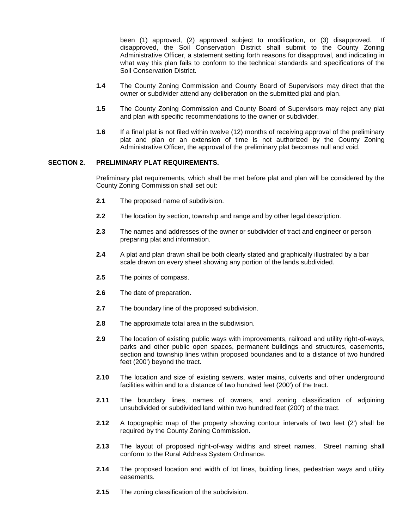been (1) approved, (2) approved subject to modification, or (3) disapproved. If disapproved, the Soil Conservation District shall submit to the County Zoning Administrative Officer, a statement setting forth reasons for disapproval, and indicating in what way this plan fails to conform to the technical standards and specifications of the Soil Conservation District.

- **1.4** The County Zoning Commission and County Board of Supervisors may direct that the owner or subdivider attend any deliberation on the submitted plat and plan.
- **1.5** The County Zoning Commission and County Board of Supervisors may reject any plat and plan with specific recommendations to the owner or subdivider.
- **1.6** If a final plat is not filed within twelve (12) months of receiving approval of the preliminary plat and plan or an extension of time is not authorized by the County Zoning Administrative Officer, the approval of the preliminary plat becomes null and void.

## **SECTION 2. PRELIMINARY PLAT REQUIREMENTS.**

Preliminary plat requirements, which shall be met before plat and plan will be considered by the County Zoning Commission shall set out:

- **2.1** The proposed name of subdivision.
- **2.2** The location by section, township and range and by other legal description.
- **2.3** The names and addresses of the owner or subdivider of tract and engineer or person preparing plat and information.
- **2.4** A plat and plan drawn shall be both clearly stated and graphically illustrated by a bar scale drawn on every sheet showing any portion of the lands subdivided.
- **2.5** The points of compass.
- **2.6** The date of preparation.
- **2.7** The boundary line of the proposed subdivision.
- **2.8** The approximate total area in the subdivision.
- **2.9** The location of existing public ways with improvements, railroad and utility right-of-ways, parks and other public open spaces, permanent buildings and structures, easements, section and township lines within proposed boundaries and to a distance of two hundred feet (200') beyond the tract.
- **2.10** The location and size of existing sewers, water mains, culverts and other underground facilities within and to a distance of two hundred feet (200') of the tract.
- **2.11** The boundary lines, names of owners, and zoning classification of adjoining unsubdivided or subdivided land within two hundred feet (200') of the tract.
- **2.12** A topographic map of the property showing contour intervals of two feet (2') shall be required by the County Zoning Commission.
- **2.13** The layout of proposed right-of-way widths and street names. Street naming shall conform to the Rural Address System Ordinance.
- **2.14** The proposed location and width of lot lines, building lines, pedestrian ways and utility easements.
- **2.15** The zoning classification of the subdivision.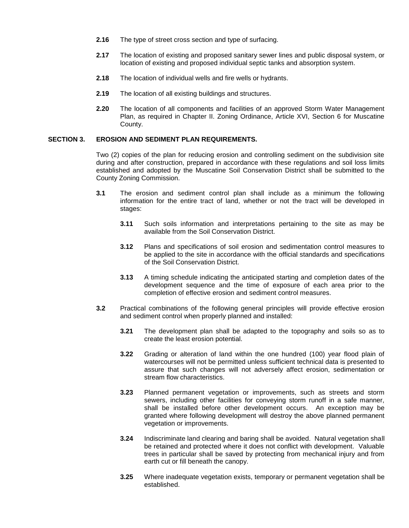- **2.16** The type of street cross section and type of surfacing.
- **2.17** The location of existing and proposed sanitary sewer lines and public disposal system, or location of existing and proposed individual septic tanks and absorption system.
- **2.18** The location of individual wells and fire wells or hydrants.
- **2.19** The location of all existing buildings and structures.
- **2.20** The location of all components and facilities of an approved Storm Water Management Plan, as required in Chapter II. Zoning Ordinance, Article XVI, Section 6 for Muscatine County.

## **SECTION 3. EROSION AND SEDIMENT PLAN REQUIREMENTS.**

Two (2) copies of the plan for reducing erosion and controlling sediment on the subdivision site during and after construction, prepared in accordance with these regulations and soil loss limits established and adopted by the Muscatine Soil Conservation District shall be submitted to the County Zoning Commission.

- **3.1** The erosion and sediment control plan shall include as a minimum the following information for the entire tract of land, whether or not the tract will be developed in stages:
	- **3.11** Such soils information and interpretations pertaining to the site as may be available from the Soil Conservation District.
	- **3.12** Plans and specifications of soil erosion and sedimentation control measures to be applied to the site in accordance with the official standards and specifications of the Soil Conservation District.
	- **3.13** A timing schedule indicating the anticipated starting and completion dates of the development sequence and the time of exposure of each area prior to the completion of effective erosion and sediment control measures.
- **3.2** Practical combinations of the following general principles will provide effective erosion and sediment control when properly planned and installed:
	- **3.21** The development plan shall be adapted to the topography and soils so as to create the least erosion potential.
	- **3.22** Grading or alteration of land within the one hundred (100) year flood plain of watercourses will not be permitted unless sufficient technical data is presented to assure that such changes will not adversely affect erosion, sedimentation or stream flow characteristics.
	- **3.23** Planned permanent vegetation or improvements, such as streets and storm sewers, including other facilities for conveying storm runoff in a safe manner, shall be installed before other development occurs. An exception may be granted where following development will destroy the above planned permanent vegetation or improvements.
	- **3.24** Indiscriminate land clearing and baring shall be avoided. Natural vegetation shall be retained and protected where it does not conflict with development. Valuable trees in particular shall be saved by protecting from mechanical injury and from earth cut or fill beneath the canopy.
	- **3.25** Where inadequate vegetation exists, temporary or permanent vegetation shall be established.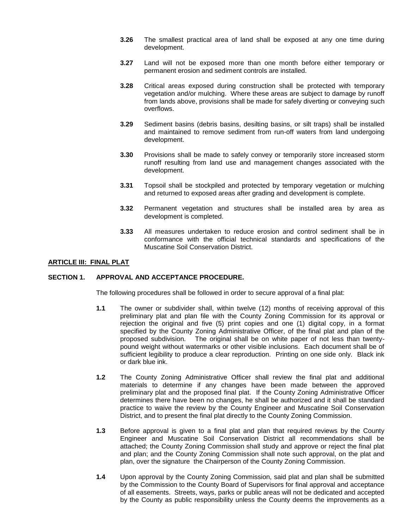- **3.26** The smallest practical area of land shall be exposed at any one time during development.
- **3.27** Land will not be exposed more than one month before either temporary or permanent erosion and sediment controls are installed.
- **3.28** Critical areas exposed during construction shall be protected with temporary vegetation and/or mulching. Where these areas are subject to damage by runoff from lands above, provisions shall be made for safely diverting or conveying such overflows.
- **3.29** Sediment basins (debris basins, desilting basins, or silt traps) shall be installed and maintained to remove sediment from run-off waters from land undergoing development.
- **3.30** Provisions shall be made to safely convey or temporarily store increased storm runoff resulting from land use and management changes associated with the development.
- **3.31** Topsoil shall be stockpiled and protected by temporary vegetation or mulching and returned to exposed areas after grading and development is complete.
- **3.32** Permanent vegetation and structures shall be installed area by area as development is completed.
- **3.33** All measures undertaken to reduce erosion and control sediment shall be in conformance with the official technical standards and specifications of the Muscatine Soil Conservation District.

## **ARTICLE III: FINAL PLAT**

#### **SECTION 1. APPROVAL AND ACCEPTANCE PROCEDURE.**

The following procedures shall be followed in order to secure approval of a final plat:

- **1.1** The owner or subdivider shall, within twelve (12) months of receiving approval of this preliminary plat and plan file with the County Zoning Commission for its approval or rejection the original and five (5) print copies and one (1) digital copy, in a format specified by the County Zoning Administrative Officer, of the final plat and plan of the proposed subdivision. The original shall be on white paper of not less than twentypound weight without watermarks or other visible inclusions. Each document shall be of sufficient legibility to produce a clear reproduction. Printing on one side only. Black ink or dark blue ink.
- **1.2** The County Zoning Administrative Officer shall review the final plat and additional materials to determine if any changes have been made between the approved preliminary plat and the proposed final plat. If the County Zoning Administrative Officer determines there have been no changes, he shall be authorized and it shall be standard practice to waive the review by the County Engineer and Muscatine Soil Conservation District, and to present the final plat directly to the County Zoning Commission.
- **1.3** Before approval is given to a final plat and plan that required reviews by the County Engineer and Muscatine Soil Conservation District all recommendations shall be attached; the County Zoning Commission shall study and approve or reject the final plat and plan; and the County Zoning Commission shall note such approval, on the plat and plan, over the signature the Chairperson of the County Zoning Commission.
- **1.4** Upon approval by the County Zoning Commission, said plat and plan shall be submitted by the Commission to the County Board of Supervisors for final approval and acceptance of all easements. Streets, ways, parks or public areas will not be dedicated and accepted by the County as public responsibility unless the County deems the improvements as a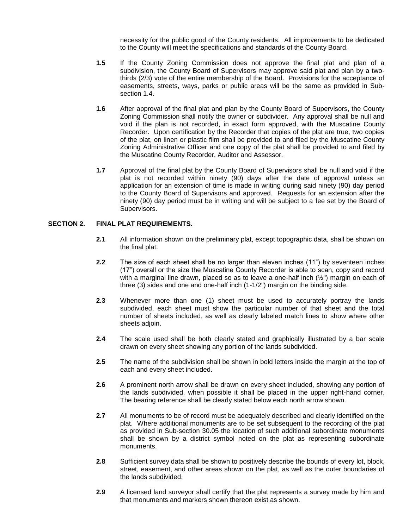necessity for the public good of the County residents. All improvements to be dedicated to the County will meet the specifications and standards of the County Board.

- **1.5** If the County Zoning Commission does not approve the final plat and plan of a subdivision, the County Board of Supervisors may approve said plat and plan by a twothirds (2/3) vote of the entire membership of the Board. Provisions for the acceptance of easements, streets, ways, parks or public areas will be the same as provided in Subsection 1.4.
- **1.6** After approval of the final plat and plan by the County Board of Supervisors, the County Zoning Commission shall notify the owner or subdivider. Any approval shall be null and void if the plan is not recorded, in exact form approved, with the Muscatine County Recorder. Upon certification by the Recorder that copies of the plat are true, two copies of the plat, on linen or plastic film shall be provided to and filed by the Muscatine County Zoning Administrative Officer and one copy of the plat shall be provided to and filed by the Muscatine County Recorder, Auditor and Assessor.
- **1.7** Approval of the final plat by the County Board of Supervisors shall be null and void if the plat is not recorded within ninety (90) days after the date of approval unless an application for an extension of time is made in writing during said ninety (90) day period to the County Board of Supervisors and approved. Requests for an extension after the ninety (90) day period must be in writing and will be subject to a fee set by the Board of Supervisors.

## **SECTION 2. FINAL PLAT REQUIREMENTS.**

- **2.1** All information shown on the preliminary plat, except topographic data, shall be shown on the final plat.
- **2.2** The size of each sheet shall be no larger than eleven inches (11") by seventeen inches (17") overall or the size the Muscatine County Recorder is able to scan, copy and record with a marginal line drawn, placed so as to leave a one-half inch  $(2/2)$ " margin on each of three (3) sides and one and one-half inch (1-1/2") margin on the binding side.
- **2.3** Whenever more than one (1) sheet must be used to accurately portray the lands subdivided, each sheet must show the particular number of that sheet and the total number of sheets included, as well as clearly labeled match lines to show where other sheets adjoin.
- **2.4** The scale used shall be both clearly stated and graphically illustrated by a bar scale drawn on every sheet showing any portion of the lands subdivided.
- **2.5** The name of the subdivision shall be shown in bold letters inside the margin at the top of each and every sheet included.
- **2.6** A prominent north arrow shall be drawn on every sheet included, showing any portion of the lands subdivided, when possible it shall be placed in the upper right-hand corner. The bearing reference shall be clearly stated below each north arrow shown.
- **2.7** All monuments to be of record must be adequately described and clearly identified on the plat. Where additional monuments are to be set subsequent to the recording of the plat as provided in Sub-section 30.05 the location of such additional subordinate monuments shall be shown by a district symbol noted on the plat as representing subordinate monuments.
- **2.8** Sufficient survey data shall be shown to positively describe the bounds of every lot, block, street, easement, and other areas shown on the plat, as well as the outer boundaries of the lands subdivided.
- **2.9** A licensed land surveyor shall certify that the plat represents a survey made by him and that monuments and markers shown thereon exist as shown.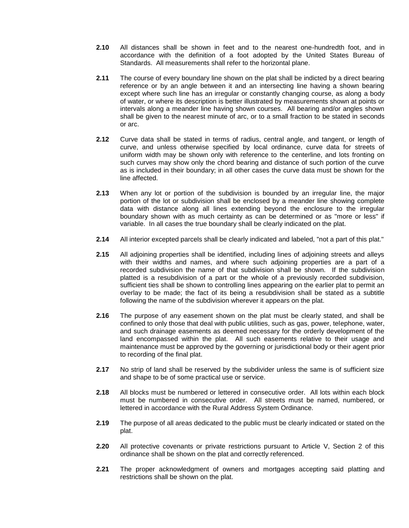- **2.10** All distances shall be shown in feet and to the nearest one-hundredth foot, and in accordance with the definition of a foot adopted by the United States Bureau of Standards. All measurements shall refer to the horizontal plane.
- **2.11** The course of every boundary line shown on the plat shall be indicted by a direct bearing reference or by an angle between it and an intersecting line having a shown bearing except where such line has an irregular or constantly changing course, as along a body of water, or where its description is better illustrated by measurements shown at points or intervals along a meander line having shown courses. All bearing and/or angles shown shall be given to the nearest minute of arc, or to a small fraction to be stated in seconds or arc.
- **2.12** Curve data shall be stated in terms of radius, central angle, and tangent, or length of curve, and unless otherwise specified by local ordinance, curve data for streets of uniform width may be shown only with reference to the centerline, and lots fronting on such curves may show only the chord bearing and distance of such portion of the curve as is included in their boundary; in all other cases the curve data must be shown for the line affected.
- **2.13** When any lot or portion of the subdivision is bounded by an irregular line, the major portion of the lot or subdivision shall be enclosed by a meander line showing complete data with distance along all lines extending beyond the enclosure to the irregular boundary shown with as much certainty as can be determined or as "more or less" if variable. In all cases the true boundary shall be clearly indicated on the plat.
- **2.14** All interior excepted parcels shall be clearly indicated and labeled, "not a part of this plat."
- **2.15** All adjoining properties shall be identified, including lines of adjoining streets and alleys with their widths and names, and where such adjoining properties are a part of a recorded subdivision the name of that subdivision shall be shown. If the subdivision platted is a resubdivision of a part or the whole of a previously recorded subdivision, sufficient ties shall be shown to controlling lines appearing on the earlier plat to permit an overlay to be made; the fact of its being a resubdivision shall be stated as a subtitle following the name of the subdivision wherever it appears on the plat.
- **2.16** The purpose of any easement shown on the plat must be clearly stated, and shall be confined to only those that deal with public utilities, such as gas, power, telephone, water, and such drainage easements as deemed necessary for the orderly development of the land encompassed within the plat. All such easements relative to their usage and maintenance must be approved by the governing or jurisdictional body or their agent prior to recording of the final plat.
- **2.17** No strip of land shall be reserved by the subdivider unless the same is of sufficient size and shape to be of some practical use or service.
- **2.18** All blocks must be numbered or lettered in consecutive order. All lots within each block must be numbered in consecutive order. All streets must be named, numbered, or lettered in accordance with the Rural Address System Ordinance.
- **2.19** The purpose of all areas dedicated to the public must be clearly indicated or stated on the plat.
- **2.20** All protective covenants or private restrictions pursuant to Article V, Section 2 of this ordinance shall be shown on the plat and correctly referenced.
- **2.21** The proper acknowledgment of owners and mortgages accepting said platting and restrictions shall be shown on the plat.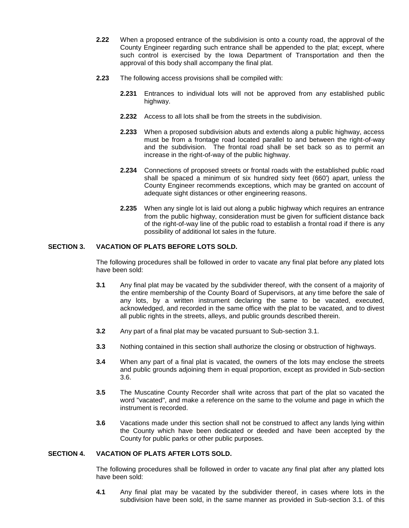- **2.22** When a proposed entrance of the subdivision is onto a county road, the approval of the County Engineer regarding such entrance shall be appended to the plat; except, where such control is exercised by the Iowa Department of Transportation and then the approval of this body shall accompany the final plat.
- **2.23** The following access provisions shall be compiled with:
	- **2.231** Entrances to individual lots will not be approved from any established public highway.
	- **2.232** Access to all lots shall be from the streets in the subdivision.
	- **2.233** When a proposed subdivision abuts and extends along a public highway, access must be from a frontage road located parallel to and between the right-of-way and the subdivision. The frontal road shall be set back so as to permit an increase in the right-of-way of the public highway.
	- **2.234** Connections of proposed streets or frontal roads with the established public road shall be spaced a minimum of six hundred sixty feet (660') apart, unless the County Engineer recommends exceptions, which may be granted on account of adequate sight distances or other engineering reasons.
	- **2.235** When any single lot is laid out along a public highway which requires an entrance from the public highway, consideration must be given for sufficient distance back of the right-of-way line of the public road to establish a frontal road if there is any possibility of additional lot sales in the future.

## **SECTION 3. VACATION OF PLATS BEFORE LOTS SOLD.**

The following procedures shall be followed in order to vacate any final plat before any plated lots have been sold:

- **3.1** Any final plat may be vacated by the subdivider thereof, with the consent of a majority of the entire membership of the County Board of Supervisors, at any time before the sale of any lots, by a written instrument declaring the same to be vacated, executed, acknowledged, and recorded in the same office with the plat to be vacated, and to divest all public rights in the streets, alleys, and public grounds described therein.
- **3.2** Any part of a final plat may be vacated pursuant to Sub-section 3.1.
- **3.3** Nothing contained in this section shall authorize the closing or obstruction of highways.
- **3.4** When any part of a final plat is vacated, the owners of the lots may enclose the streets and public grounds adjoining them in equal proportion, except as provided in Sub-section 3.6.
- **3.5** The Muscatine County Recorder shall write across that part of the plat so vacated the word "vacated", and make a reference on the same to the volume and page in which the instrument is recorded.
- **3.6** Vacations made under this section shall not be construed to affect any lands lying within the County which have been dedicated or deeded and have been accepted by the County for public parks or other public purposes.

## **SECTION 4. VACATION OF PLATS AFTER LOTS SOLD.**

The following procedures shall be followed in order to vacate any final plat after any platted lots have been sold:

**4.1** Any final plat may be vacated by the subdivider thereof, in cases where lots in the subdivision have been sold, in the same manner as provided in Sub-section 3.1. of this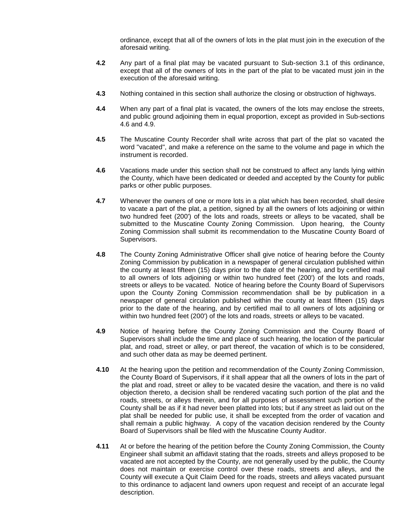ordinance, except that all of the owners of lots in the plat must join in the execution of the aforesaid writing.

- **4.2** Any part of a final plat may be vacated pursuant to Sub-section 3.1 of this ordinance, except that all of the owners of lots in the part of the plat to be vacated must join in the execution of the aforesaid writing.
- **4.3** Nothing contained in this section shall authorize the closing or obstruction of highways.
- **4.4** When any part of a final plat is vacated, the owners of the lots may enclose the streets, and public ground adjoining them in equal proportion, except as provided in Sub-sections 4.6 and 4.9.
- **4.5** The Muscatine County Recorder shall write across that part of the plat so vacated the word "vacated", and make a reference on the same to the volume and page in which the instrument is recorded.
- **4.6** Vacations made under this section shall not be construed to affect any lands lying within the County, which have been dedicated or deeded and accepted by the County for public parks or other public purposes.
- **4.7** Whenever the owners of one or more lots in a plat which has been recorded, shall desire to vacate a part of the plat, a petition, signed by all the owners of lots adjoining or within two hundred feet (200') of the lots and roads, streets or alleys to be vacated, shall be submitted to the Muscatine County Zoning Commission. Upon hearing, the County Zoning Commission shall submit its recommendation to the Muscatine County Board of Supervisors.
- **4.8** The County Zoning Administrative Officer shall give notice of hearing before the County Zoning Commission by publication in a newspaper of general circulation published within the county at least fifteen (15) days prior to the date of the hearing, and by certified mail to all owners of lots adjoining or within two hundred feet (200') of the lots and roads, streets or alleys to be vacated. Notice of hearing before the County Board of Supervisors upon the County Zoning Commission recommendation shall be by publication in a newspaper of general circulation published within the county at least fifteen (15) days prior to the date of the hearing, and by certified mail to all owners of lots adjoining or within two hundred feet (200') of the lots and roads, streets or alleys to be vacated.
- **4.9** Notice of hearing before the County Zoning Commission and the County Board of Supervisors shall include the time and place of such hearing, the location of the particular plat, and road, street or alley, or part thereof, the vacation of which is to be considered, and such other data as may be deemed pertinent.
- **4.10** At the hearing upon the petition and recommendation of the County Zoning Commission, the County Board of Supervisors, if it shall appear that all the owners of lots in the part of the plat and road, street or alley to be vacated desire the vacation, and there is no valid objection thereto, a decision shall be rendered vacating such portion of the plat and the roads, streets, or alleys therein, and for all purposes of assessment such portion of the County shall be as if it had never been platted into lots; but if any street as laid out on the plat shall be needed for public use, it shall be excepted from the order of vacation and shall remain a public highway. A copy of the vacation decision rendered by the County Board of Supervisors shall be filed with the Muscatine County Auditor.
- **4.11** At or before the hearing of the petition before the County Zoning Commission, the County Engineer shall submit an affidavit stating that the roads, streets and alleys proposed to be vacated are not accepted by the County, are not generally used by the public, the County does not maintain or exercise control over these roads, streets and alleys, and the County will execute a Quit Claim Deed for the roads, streets and alleys vacated pursuant to this ordinance to adjacent land owners upon request and receipt of an accurate legal description.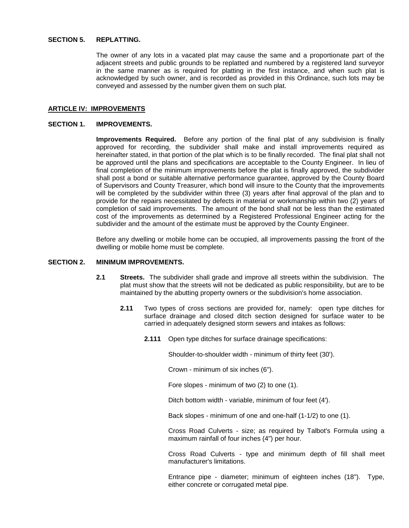#### **SECTION 5. REPLATTING.**

The owner of any lots in a vacated plat may cause the same and a proportionate part of the adjacent streets and public grounds to be replatted and numbered by a registered land surveyor in the same manner as is required for platting in the first instance, and when such plat is acknowledged by such owner, and is recorded as provided in this Ordinance, such lots may be conveyed and assessed by the number given them on such plat.

## **ARTICLE IV: IMPROVEMENTS**

#### **SECTION 1. IMPROVEMENTS.**

**Improvements Required.** Before any portion of the final plat of any subdivision is finally approved for recording, the subdivider shall make and install improvements required as hereinafter stated, in that portion of the plat which is to be finally recorded. The final plat shall not be approved until the plans and specifications are acceptable to the County Engineer. In lieu of final completion of the minimum improvements before the plat is finally approved, the subdivider shall post a bond or suitable alternative performance guarantee, approved by the County Board of Supervisors and County Treasurer, which bond will insure to the County that the improvements will be completed by the subdivider within three (3) years after final approval of the plan and to provide for the repairs necessitated by defects in material or workmanship within two (2) years of completion of said improvements. The amount of the bond shall not be less than the estimated cost of the improvements as determined by a Registered Professional Engineer acting for the subdivider and the amount of the estimate must be approved by the County Engineer.

Before any dwelling or mobile home can be occupied, all improvements passing the front of the dwelling or mobile home must be complete.

## **SECTION 2. MINIMUM IMPROVEMENTS.**

- **2.1 Streets.** The subdivider shall grade and improve all streets within the subdivision. The plat must show that the streets will not be dedicated as public responsibility, but are to be maintained by the abutting property owners or the subdivision's home association.
	- **2.11** Two types of cross sections are provided for, namely: open type ditches for surface drainage and closed ditch section designed for surface water to be carried in adequately designed storm sewers and intakes as follows:
		- **2.111** Open type ditches for surface drainage specifications:

Shoulder-to-shoulder width - minimum of thirty feet (30').

Crown - minimum of six inches (6").

Fore slopes - minimum of two (2) to one (1).

Ditch bottom width - variable, minimum of four feet (4').

Back slopes - minimum of one and one-half (1-1/2) to one (1).

Cross Road Culverts - size; as required by Talbot's Formula using a maximum rainfall of four inches (4") per hour.

Cross Road Culverts - type and minimum depth of fill shall meet manufacturer's limitations.

Entrance pipe - diameter; minimum of eighteen inches (18"). Type, either concrete or corrugated metal pipe.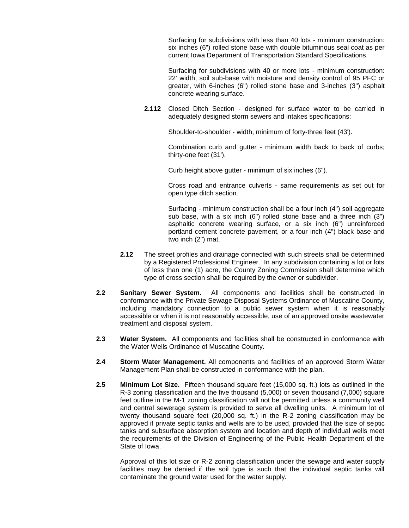Surfacing for subdivisions with less than 40 lots - minimum construction: six inches (6") rolled stone base with double bituminous seal coat as per current Iowa Department of Transportation Standard Specifications.

Surfacing for subdivisions with 40 or more lots - minimum construction: 22' width, soil sub-base with moisture and density control of 95 PFC or greater, with 6-inches (6") rolled stone base and 3-inches (3") asphalt concrete wearing surface.

**2.112** Closed Ditch Section - designed for surface water to be carried in adequately designed storm sewers and intakes specifications:

Shoulder-to-shoulder - width; minimum of forty-three feet (43').

Combination curb and gutter - minimum width back to back of curbs; thirty-one feet (31').

Curb height above gutter - minimum of six inches (6").

Cross road and entrance culverts - same requirements as set out for open type ditch section.

Surfacing - minimum construction shall be a four inch (4") soil aggregate sub base, with a six inch (6") rolled stone base and a three inch (3") asphaltic concrete wearing surface, or a six inch (6") unreinforced portland cement concrete pavement, or a four inch (4") black base and two inch (2") mat.

- **2.12** The street profiles and drainage connected with such streets shall be determined by a Registered Professional Engineer. In any subdivision containing a lot or lots of less than one (1) acre, the County Zoning Commission shall determine which type of cross section shall be required by the owner or subdivider.
- **2.2 Sanitary Sewer System.** All components and facilities shall be constructed in conformance with the Private Sewage Disposal Systems Ordinance of Muscatine County, including mandatory connection to a public sewer system when it is reasonably accessible or when it is not reasonably accessible, use of an approved onsite wastewater treatment and disposal system.
- **2.3 Water System.** All components and facilities shall be constructed in conformance with the Water Wells Ordinance of Muscatine County.
- **2.4 Storm Water Management.** All components and facilities of an approved Storm Water Management Plan shall be constructed in conformance with the plan.
- **2.5 Minimum Lot Size.** Fifteen thousand square feet (15,000 sq. ft.) lots as outlined in the R-3 zoning classification and the five thousand (5,000) or seven thousand (7,000) square feet outline in the M-1 zoning classification will not be permitted unless a community well and central sewerage system is provided to serve all dwelling units. A minimum lot of twenty thousand square feet (20,000 sq. ft.) in the R-2 zoning classification may be approved if private septic tanks and wells are to be used, provided that the size of septic tanks and subsurface absorption system and location and depth of individual wells meet the requirements of the Division of Engineering of the Public Health Department of the State of Iowa.

Approval of this lot size or R-2 zoning classification under the sewage and water supply facilities may be denied if the soil type is such that the individual septic tanks will contaminate the ground water used for the water supply.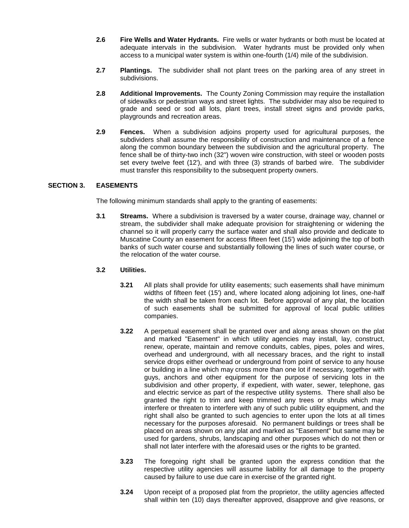- **2.6 Fire Wells and Water Hydrants.** Fire wells or water hydrants or both must be located at adequate intervals in the subdivision. Water hydrants must be provided only when access to a municipal water system is within one-fourth (1/4) mile of the subdivision.
- **2.7 Plantings.** The subdivider shall not plant trees on the parking area of any street in subdivisions.
- **2.8 Additional Improvements.** The County Zoning Commission may require the installation of sidewalks or pedestrian ways and street lights. The subdivider may also be required to grade and seed or sod all lots, plant trees, install street signs and provide parks, playgrounds and recreation areas.
- **2.9 Fences.** When a subdivision adjoins property used for agricultural purposes, the subdividers shall assume the responsibility of construction and maintenance of a fence along the common boundary between the subdivision and the agricultural property. The fence shall be of thirty-two inch (32") woven wire construction, with steel or wooden posts set every twelve feet (12'), and with three (3) strands of barbed wire. The subdivider must transfer this responsibility to the subsequent property owners.

## **SECTION 3. EASEMENTS**

The following minimum standards shall apply to the granting of easements:

**3.1 Streams.** Where a subdivision is traversed by a water course, drainage way, channel or stream, the subdivider shall make adequate provision for straightening or widening the channel so it will properly carry the surface water and shall also provide and dedicate to Muscatine County an easement for access fifteen feet (15') wide adjoining the top of both banks of such water course and substantially following the lines of such water course, or the relocation of the water course.

## **3.2 Utilities.**

- **3.21** All plats shall provide for utility easements; such easements shall have minimum widths of fifteen feet (15') and, where located along adjoining lot lines, one-half the width shall be taken from each lot. Before approval of any plat, the location of such easements shall be submitted for approval of local public utilities companies.
- **3.22** A perpetual easement shall be granted over and along areas shown on the plat and marked "Easement" in which utility agencies may install, lay, construct, renew, operate, maintain and remove conduits, cables, pipes, poles and wires, overhead and underground, with all necessary braces, and the right to install service drops either overhead or underground from point of service to any house or building in a line which may cross more than one lot if necessary, together with guys, anchors and other equipment for the purpose of servicing lots in the subdivision and other property, if expedient, with water, sewer, telephone, gas and electric service as part of the respective utility systems. There shall also be granted the right to trim and keep trimmed any trees or shrubs which may interfere or threaten to interfere with any of such public utility equipment, and the right shall also be granted to such agencies to enter upon the lots at all times necessary for the purposes aforesaid. No permanent buildings or trees shall be placed on areas shown on any plat and marked as "Easement" but same may be used for gardens, shrubs, landscaping and other purposes which do not then or shall not later interfere with the aforesaid uses or the rights to be granted.
- **3.23** The foregoing right shall be granted upon the express condition that the respective utility agencies will assume liability for all damage to the property caused by failure to use due care in exercise of the granted right.
- **3.24** Upon receipt of a proposed plat from the proprietor, the utility agencies affected shall within ten (10) days thereafter approved, disapprove and give reasons, or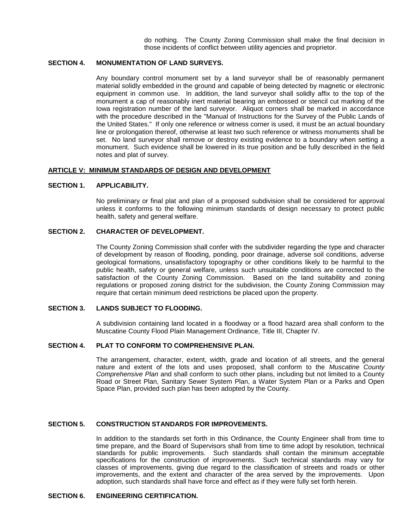do nothing. The County Zoning Commission shall make the final decision in those incidents of conflict between utility agencies and proprietor.

## **SECTION 4. MONUMENTATION OF LAND SURVEYS.**

Any boundary control monument set by a land surveyor shall be of reasonably permanent material solidly embedded in the ground and capable of being detected by magnetic or electronic equipment in common use. In addition, the land surveyor shall solidly affix to the top of the monument a cap of reasonably inert material bearing an embossed or stencil cut marking of the Iowa registration number of the land surveyor. Aliquot corners shall be marked in accordance with the procedure described in the "Manual of Instructions for the Survey of the Public Lands of the United States." If only one reference or witness corner is used, it must be an actual boundary line or prolongation thereof, otherwise at least two such reference or witness monuments shall be set. No land surveyor shall remove or destroy existing evidence to a boundary when setting a monument. Such evidence shall be lowered in its true position and be fully described in the field notes and plat of survey.

#### **ARTICLE V: MINIMUM STANDARDS OF DESIGN AND DEVELOPMENT**

#### **SECTION 1. APPLICABILITY.**

No preliminary or final plat and plan of a proposed subdivision shall be considered for approval unless it conforms to the following minimum standards of design necessary to protect public health, safety and general welfare.

## **SECTION 2. CHARACTER OF DEVELOPMENT.**

The County Zoning Commission shall confer with the subdivider regarding the type and character of development by reason of flooding, ponding, poor drainage, adverse soil conditions, adverse geological formations, unsatisfactory topography or other conditions likely to be harmful to the public health, safety or general welfare, unless such unsuitable conditions are corrected to the satisfaction of the County Zoning Commission. Based on the land suitability and zoning regulations or proposed zoning district for the subdivision, the County Zoning Commission may require that certain minimum deed restrictions be placed upon the property.

#### **SECTION 3. LANDS SUBJECT TO FLOODING.**

A subdivision containing land located in a floodway or a flood hazard area shall conform to the Muscatine County Flood Plain Management Ordinance, Title III, Chapter IV.

## **SECTION 4. PLAT TO CONFORM TO COMPREHENSIVE PLAN.**

The arrangement, character, extent, width, grade and location of all streets, and the general nature and extent of the lots and uses proposed, shall conform to the *Muscatine County Comprehensive Plan* and shall conform to such other plans, including but not limited to a County Road or Street Plan, Sanitary Sewer System Plan, a Water System Plan or a Parks and Open Space Plan, provided such plan has been adopted by the County.

#### **SECTION 5. CONSTRUCTION STANDARDS FOR IMPROVEMENTS.**

In addition to the standards set forth in this Ordinance, the County Engineer shall from time to time prepare, and the Board of Supervisors shall from time to time adopt by resolution, technical standards for public improvements. Such standards shall contain the minimum acceptable specifications for the construction of improvements. Such technical standards may vary for classes of improvements, giving due regard to the classification of streets and roads or other improvements, and the extent and character of the area served by the improvements. Upon adoption, such standards shall have force and effect as if they were fully set forth herein.

## **SECTION 6. ENGINEERING CERTIFICATION.**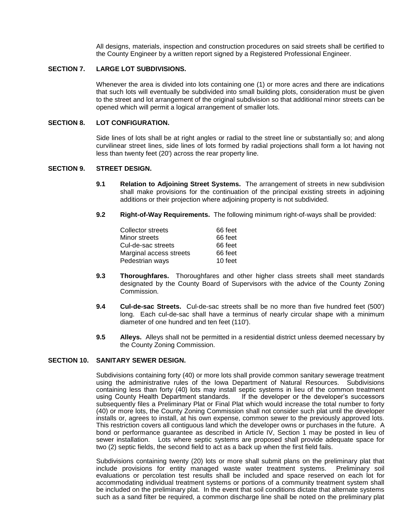All designs, materials, inspection and construction procedures on said streets shall be certified to the County Engineer by a written report signed by a Registered Professional Engineer.

## **SECTION 7. LARGE LOT SUBDIVISIONS.**

Whenever the area is divided into lots containing one (1) or more acres and there are indications that such lots will eventually be subdivided into small building plots, consideration must be given to the street and lot arrangement of the original subdivision so that additional minor streets can be opened which will permit a logical arrangement of smaller lots.

#### **SECTION 8. LOT CONFIGURATION.**

Side lines of lots shall be at right angles or radial to the street line or substantially so; and along curvilinear street lines, side lines of lots formed by radial projections shall form a lot having not less than twenty feet (20') across the rear property line.

#### **SECTION 9. STREET DESIGN.**

- **9.1 Relation to Adjoining Street Systems.** The arrangement of streets in new subdivision shall make provisions for the continuation of the principal existing streets in adjoining additions or their projection where adjoining property is not subdivided.
- **9.2 Right-of-Way Requirements.** The following minimum right-of-ways shall be provided:

| Collector streets       | 66 feet |
|-------------------------|---------|
| Minor streets           | 66 feet |
| Cul-de-sac streets      | 66 feet |
| Marginal access streets | 66 feet |
| Pedestrian ways         | 10 feet |

- **9.3 Thoroughfares.** Thoroughfares and other higher class streets shall meet standards designated by the County Board of Supervisors with the advice of the County Zoning Commission.
- **9.4 Cul-de-sac Streets.** Cul-de-sac streets shall be no more than five hundred feet (500') long. Each cul-de-sac shall have a terminus of nearly circular shape with a minimum diameter of one hundred and ten feet (110').
- **9.5 Alleys.** Alleys shall not be permitted in a residential district unless deemed necessary by the County Zoning Commission.

#### **SECTION 10. SANITARY SEWER DESIGN.**

Subdivisions containing forty (40) or more lots shall provide common sanitary sewerage treatment using the administrative rules of the Iowa Department of Natural Resources. Subdivisions containing less than forty (40) lots may install septic systems in lieu of the common treatment using County Health Department standards. If the developer or the developer's successors subsequently files a Preliminary Plat or Final Plat which would increase the total number to forty (40) or more lots, the County Zoning Commission shall not consider such plat until the developer installs or, agrees to install, at his own expense, common sewer to the previously approved lots. This restriction covers all contiguous land which the developer owns or purchases in the future. A bond or performance guarantee as described in Article IV, Section 1 may be posted in lieu of sewer installation. Lots where septic systems are proposed shall provide adequate space for two (2) septic fields, the second field to act as a back up when the first field fails.

Subdivisions containing twenty (20) lots or more shall submit plans on the preliminary plat that include provisions for entity managed waste water treatment systems. Preliminary soil evaluations or percolation test results shall be included and space reserved on each lot for accommodating individual treatment systems or portions of a community treatment system shall be included on the preliminary plat. In the event that soil conditions dictate that alternate systems such as a sand filter be required, a common discharge line shall be noted on the preliminary plat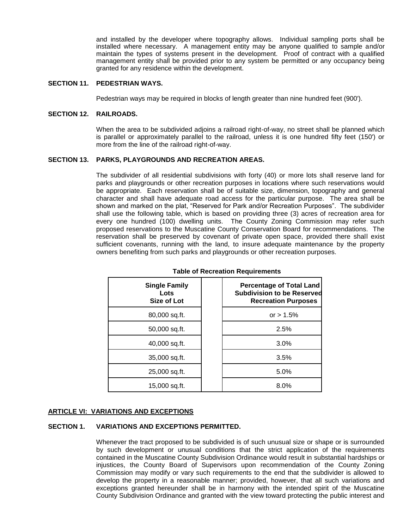and installed by the developer where topography allows. Individual sampling ports shall be installed where necessary. A management entity may be anyone qualified to sample and/or maintain the types of systems present in the development. Proof of contract with a qualified management entity shall be provided prior to any system be permitted or any occupancy being granted for any residence within the development.

#### **SECTION 11. PEDESTRIAN WAYS.**

Pedestrian ways may be required in blocks of length greater than nine hundred feet (900').

## **SECTION 12. RAILROADS.**

When the area to be subdivided adjoins a railroad right-of-way, no street shall be planned which is parallel or approximately parallel to the railroad, unless it is one hundred fifty feet (150') or more from the line of the railroad right-of-way.

#### **SECTION 13. PARKS, PLAYGROUNDS AND RECREATION AREAS.**

The subdivider of all residential subdivisions with forty (40) or more lots shall reserve land for parks and playgrounds or other recreation purposes in locations where such reservations would be appropriate. Each reservation shall be of suitable size, dimension, topography and general character and shall have adequate road access for the particular purpose. The area shall be shown and marked on the plat, "Reserved for Park and/or Recreation Purposes". The subdivider shall use the following table, which is based on providing three (3) acres of recreation area for every one hundred (100) dwelling units. The County Zoning Commission may refer such proposed reservations to the Muscatine County Conservation Board for recommendations. The reservation shall be preserved by covenant of private open space, provided there shall exist sufficient covenants, running with the land, to insure adequate maintenance by the property owners benefiting from such parks and playgrounds or other recreation purposes.

| <b>Single Family</b><br>Lots<br>Size of Lot | <b>Percentage of Total Land</b><br><b>Subdivision to be Reserved</b><br><b>Recreation Purposes</b> |
|---------------------------------------------|----------------------------------------------------------------------------------------------------|
| 80,000 sq.ft.                               | or $> 1.5\%$                                                                                       |
| 50,000 sq.ft.                               | 2.5%                                                                                               |
| 40,000 sq.ft.                               | 3.0%                                                                                               |
| 35,000 sq.ft.                               | 3.5%                                                                                               |
| 25,000 sq.ft.                               | 5.0%                                                                                               |
| 15,000 sq.ft.                               | 8.0%                                                                                               |

#### **Table of Recreation Requirements**

## **ARTICLE VI: VARIATIONS AND EXCEPTIONS**

#### **SECTION 1. VARIATIONS AND EXCEPTIONS PERMITTED.**

Whenever the tract proposed to be subdivided is of such unusual size or shape or is surrounded by such development or unusual conditions that the strict application of the requirements contained in the Muscatine County Subdivision Ordinance would result in substantial hardships or injustices, the County Board of Supervisors upon recommendation of the County Zoning Commission may modify or vary such requirements to the end that the subdivider is allowed to develop the property in a reasonable manner; provided, however, that all such variations and exceptions granted hereunder shall be in harmony with the intended spirit of the Muscatine County Subdivision Ordinance and granted with the view toward protecting the public interest and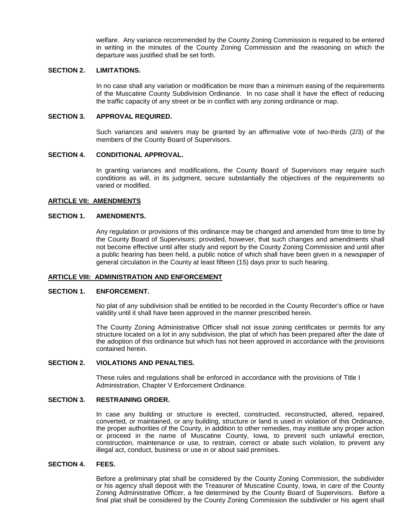welfare. Any variance recommended by the County Zoning Commission is required to be entered in writing in the minutes of the County Zoning Commission and the reasoning on which the departure was justified shall be set forth.

#### **SECTION 2. LIMITATIONS.**

In no case shall any variation or modification be more than a minimum easing of the requirements of the Muscatine County Subdivision Ordinance. In no case shall it have the effect of reducing the traffic capacity of any street or be in conflict with any zoning ordinance or map.

#### **SECTION 3. APPROVAL REQUIRED.**

Such variances and waivers may be granted by an affirmative vote of two-thirds (2/3) of the members of the County Board of Supervisors.

#### **SECTION 4. CONDITIONAL APPROVAL.**

In granting variances and modifications, the County Board of Supervisors may require such conditions as will, in its judgment, secure substantially the objectives of the requirements so varied or modified.

#### **ARTICLE VII: AMENDMENTS**

#### **SECTION 1. AMENDMENTS.**

Any regulation or provisions of this ordinance may be changed and amended from time to time by the County Board of Supervisors; provided, however, that such changes and amendments shall not become effective until after study and report by the County Zoning Commission and until after a public hearing has been held, a public notice of which shall have been given in a newspaper of general circulation in the County at least fifteen (15) days prior to such hearing.

#### **ARTICLE VIII: ADMINISTRATION AND ENFORCEMENT**

#### **SECTION 1. ENFORCEMENT.**

No plat of any subdivision shall be entitled to be recorded in the County Recorder's office or have validity until it shall have been approved in the manner prescribed herein.

The County Zoning Administrative Officer shall not issue zoning certificates or permits for any structure located on a lot in any subdivision, the plat of which has been prepared after the date of the adoption of this ordinance but which has not been approved in accordance with the provisions contained herein.

## **SECTION 2. VIOLATIONS AND PENALTIES.**

These rules and regulations shall be enforced in accordance with the provisions of Title I Administration, Chapter V Enforcement Ordinance.

#### **SECTION 3. RESTRAINING ORDER.**

In case any building or structure is erected, constructed, reconstructed, altered, repaired, converted, or maintained, or any building, structure or land is used in violation of this Ordinance, the proper authorities of the County, in addition to other remedies, may institute any proper action or proceed in the name of Muscatine County, Iowa, to prevent such unlawful erection, construction, maintenance or use, to restrain, correct or abate such violation, to prevent any illegal act, conduct, business or use in or about said premises.

## **SECTION 4. FEES.**

Before a preliminary plat shall be considered by the County Zoning Commission, the subdivider or his agency shall deposit with the Treasurer of Muscatine County, Iowa, in care of the County Zoning Administrative Officer, a fee determined by the County Board of Supervisors. Before a final plat shall be considered by the County Zoning Commission the subdivider or his agent shall